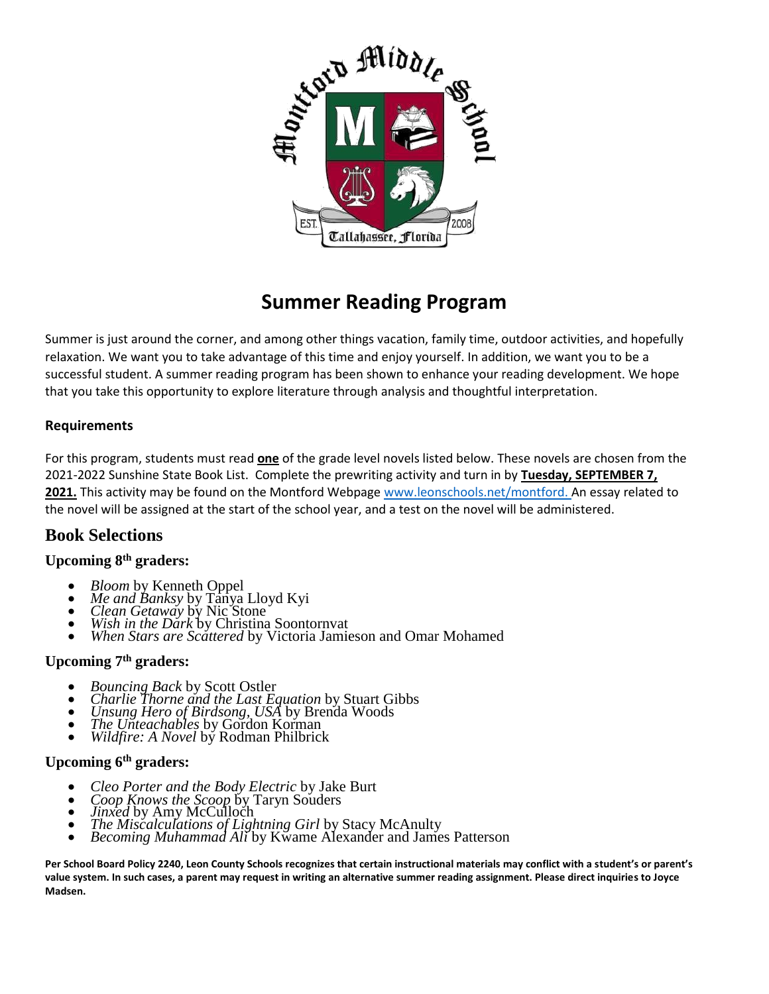

# **Summer Reading Program**

Summer is just around the corner, and among other things vacation, family time, outdoor activities, and hopefully relaxation. We want you to take advantage of this time and enjoy yourself. In addition, we want you to be a successful student. A summer reading program has been shown to enhance your reading development. We hope that you take this opportunity to explore literature through analysis and thoughtful interpretation.

## **Requirements**

For this program, students must read **one** of the grade level novels listed below. These novels are chosen from the 2021-2022 Sunshine State Book List. Complete the prewriting activity and turn in by **Tuesday, SEPTEMBER 7, 2021.** This activity may be found on the Montford Webpage [www.leonschools.net/montford. A](http://www.leonschools.net/montford.)n essay related to the novel will be assigned at the start of the school year, and a test on the novel will be administered.

# **Book Selections**

## **Upcoming 8th graders:**

- *Bloom* by Kenneth Oppel
- *Me and Banksy* by Tanya Lloyd Kyi
- *Clean Getaway* by Nic Stone
- *Wish in the Dark* by Christina Soontornvat
- *When Stars are Scattered* by Victoria Jamieson and Omar Mohamed

#### **Upcoming 7th graders:**

- *Bouncing Back* by Scott Ostler
- *Charlie Thorne and the Last Equation* by Stuart Gibbs
- *Unsung Hero of Birdsong, USA* by Brenda Woods
- *The Unteachables* by Gordon Korman
- *Wildfire: A Novel* by Rodman Philbrick

### **Upcoming 6th graders:**

- *Cleo Porter and the Body Electric* by Jake Burt
- *Coop Knows the Scoop* by Taryn Souders
- *Jinxed* by Amy McCulloch
- *The Miscalculations of Lightning Girl* by Stacy McAnulty
- *Becoming Muhammad Ali* by Kwame Alexander and James Patterson

Per School Board Policy 2240, Leon County Schools recognizes that certain instructional materials may conflict with a student's or parent's **value system. In such cases, a parent may request in writing an alternative summer reading assignment. Please direct inquiries to Joyce Madsen.**